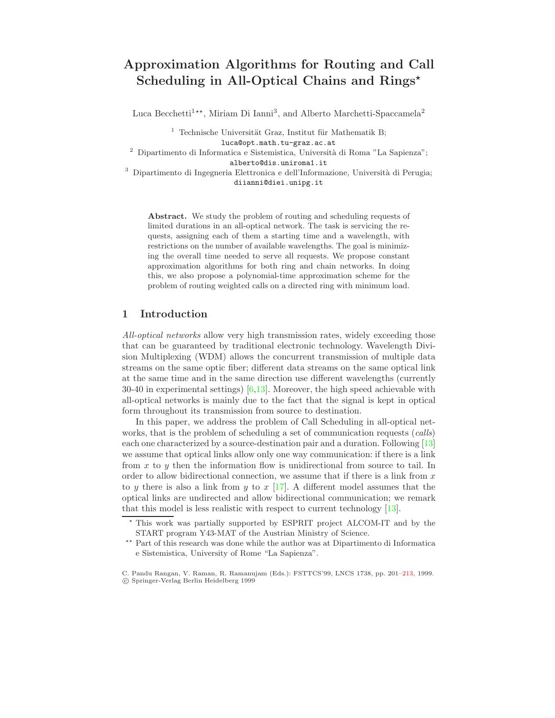# <span id="page-0-0"></span>**Approximation Algorithms for Routing and Call Scheduling in All-Optical Chains and Rings**

Luca Becchetti<sup>1\*\*</sup>, Miriam Di Ianni<sup>3</sup>, and Alberto Marchetti-Spaccamela<sup>2</sup>

 $^1$  Technische Universität Graz, Institut für Mathematik B; luca@opt.math.tu-graz.ac.at

 $^2$  Dipartimento di Informatica e Sistemistica, Università di Roma "La Sapienza"; alberto@dis.uniroma1.it

 $^3$  Dipartimento di Ingegneria Elettronica e dell'Informazione, Università di Perugia; diianni@diei.unipg.it

**Abstract.** We study the problem of routing and scheduling requests of limited durations in an all-optical network. The task is servicing the requests, assigning each of them a starting time and a wavelength, with restrictions on the number of available wavelengths. The goal is minimizing the overall time needed to serve all requests. We propose constant approximation algorithms for both ring and chain networks. In doing this, we also propose a polynomial-time approximation scheme for the problem of routing weighted calls on a directed ring with minimum load.

## **1 Introduction**

*All-optical networks* allow very high transmission rates, widely exceeding those that can be guaranteed by traditional electronic technology. Wavelength Division Multiplexing (WDM) allows the concurrent transmission of multiple data streams on the same optic fiber; different data streams on the same optical link at the same time and in the same direction use different wavelengths (currently 30-40 in experimental settings) [\[6,](#page-11-0)[13\]](#page-11-1). Moreover, the high speed achievable with all-optical networks is mainly due to the fact that the signal is kept in optical form throughout its transmission from source to destination.

In this paper, we address the problem of Call Scheduling in all-optical networks, that is the problem of scheduling a set of communication requests (*calls*) each one characterized by a source-destination pair and a duration. Following [\[13\]](#page-11-1) we assume that optical links allow only one way communication: if there is a link from  $x$  to  $y$  then the information flow is unidirectional from source to tail. In order to allow bidirectional connection, we assume that if there is a link from  $x$ to y there is also a link from y to  $x$  [\[17\]](#page-11-2). A different model assumes that the optical links are undirected and allow bidirectional communication; we remark that this model is less realistic with respect to current technology [\[13\]](#page-11-1).

This work was partially supported by ESPRIT project ALCOM-IT and by the START program Y43-MAT of the Austrian Ministry of Science.

<sup>\*\*</sup> Part of this research was done while the author was at Dipartimento di Informatica e Sistemistica, University of Rome "La Sapienza".

C. Pandu Rangan, V. Raman, R. Ramanujam (Eds.): FSTTCS'99, LNCS 1738, pp. 201[–213,](#page-12-0) 1999.

c Springer-Verlag Berlin Heidelberg 1999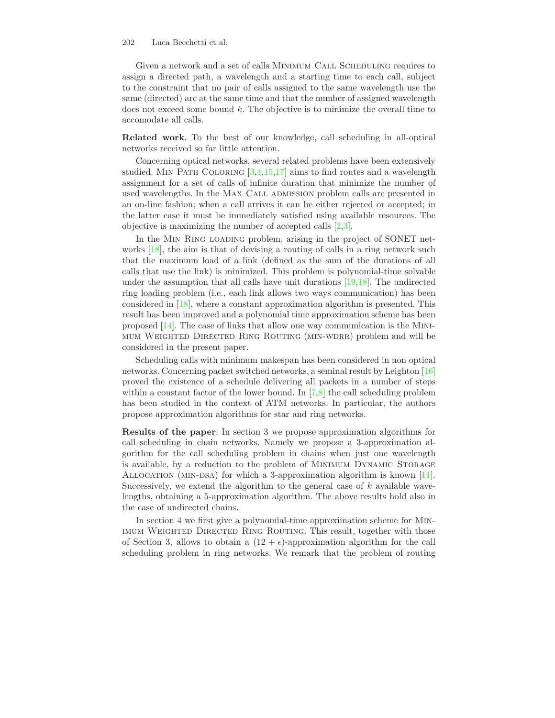<span id="page-1-1"></span><span id="page-1-0"></span>Given a network and a set of calls Minimum Call Scheduling requires to assign a directed path, a wavelength and a starting time to each call, subject to the constraint that no pair of calls assigned to the same wavelength use the same (directed) arc at the same time and that the number of assigned wavelength does not exceed some bound  $k$ . The objective is to minimize the overall time to accomodate all calls.

**Related work**. To the best of our knowledge, call scheduling in all-optical networks received so far little attention.

Concerning optical networks, several related problems have been extensively studied. MIN PATH COLORING  $[3,4,15,17]$  $[3,4,15,17]$  $[3,4,15,17]$  $[3,4,15,17]$  aims to find routes and a wavelength assignment for a set of calls of infinite duration that minimize the number of used wavelengths. In the MAX CALL ADMISSION problem calls are presented in an on-line fashion; when a call arrives it can be either rejected or accepted; in the latter case it must be immediately satisfied using available resources. The objective is maximizing the number of accepted calls [\[2](#page-11-7)[,3\]](#page-11-3).

In the Min Ring loading problem, arising in the project of SONET networks [\[18\]](#page-11-8), the aim is that of devising a routing of calls in a ring network such that the maximum load of a link (defined as the sum of the durations of all calls that use the link) is minimized. This problem is polynomial-time solvable under the assumption that all calls have unit durations [\[19,](#page-12-1)[18\]](#page-11-8). The undirected ring loading problem (i.e., each link allows two ways communication) has been considered in [\[18\]](#page-11-8), where a constant approximation algorithm is presented. This result has been improved and a polynomial time approximation scheme has been proposed [\[14\]](#page-11-9). The case of links that allow one way communication is the Minimum Weighted Directed Ring Routing (min-wdrr) problem and will be considered in the present paper.

Scheduling calls with minimum makespan has been considered in non optical networks. Concerning packet switched networks, a seminal result by Leighton [\[16\]](#page-11-10) proved the existence of a schedule delivering all packets in a number of steps within a constant factor of the lower bound. In  $[7,8]$  $[7,8]$  the call scheduling problem has been studied in the context of ATM networks. In particular, the authors propose approximation algorithms for star and ring networks.

**Results of the paper**. In section 3 we propose approximation algorithms for call scheduling in chain networks. Namely we propose a 3-approximation algorithm for the call scheduling problem in chains when just one wavelength is available, by a reduction to the problem of Minimum Dynamic Storage ALLOCATION (MIN-DSA) for which a 3-approximation algorithm is known  $[11]$ . Successively, we extend the algorithm to the general case of  $k$  available wavelengths, obtaining a 5-approximation algorithm. The above results hold also in the case of undirected chains.

In section 4 we first give a polynomial-time approximation scheme for Minimum Weighted Directed Ring Routing. This result, together with those of Section 3, allows to obtain a  $(12 + \epsilon)$ -approximation algorithm for the call scheduling problem in ring networks. We remark that the problem of routing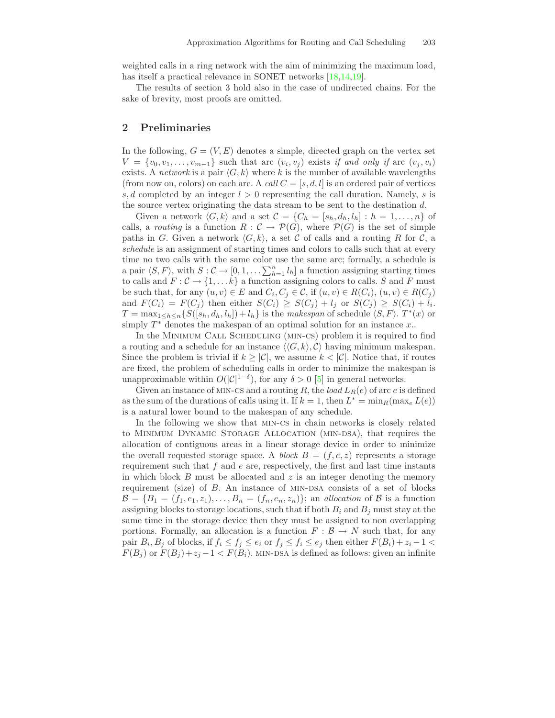<span id="page-2-1"></span><span id="page-2-0"></span>weighted calls in a ring network with the aim of minimizing the maximum load, has itself a practical relevance in SONET networks [\[18](#page-11-14)[,14,](#page-11-15)[19\]](#page-12-2).

The results of section 3 hold also in the case of undirected chains. For the sake of brevity, most proofs are omitted.

## **2 Preliminaries**

In the following,  $G = (V, E)$  denotes a simple, directed graph on the vertex set  $V = \{v_0, v_1, \ldots, v_{m-1}\}\$  such that arc  $(v_i, v_j)$  exists *if and only if* arc  $(v_i, v_i)$ exists. A *network* is a pair  $\langle G, k \rangle$  where k is the number of available wavelengths (from now on, colors) on each arc. A *call*  $C = [s, d, l]$  is an ordered pair of vertices s, d completed by an integer  $l > 0$  representing the call duration. Namely, s is the source vertex originating the data stream to be sent to the destination  $d$ .

Given a network  $\langle G, k \rangle$  and a set  $\mathcal{C} = \{C_h = [s_h, d_h, l_h] : h = 1, \ldots, n\}$  of calls, a *routing* is a function  $R : C \to \mathcal{P}(G)$ , where  $\mathcal{P}(G)$  is the set of simple paths in G. Given a network  $\langle G, k \rangle$ , a set C of calls and a routing R for C, a *schedule* is an assignment of starting times and colors to calls such that at every time no two calls with the same color use the same arc; formally, a schedule is a pair  $\langle S, F \rangle$ , with  $S : C \to [0, 1, \dots \sum_{h=1}^{n} l_h]$  a function assigning starting times to calls and  $F: \mathcal{C} \to \{1, \ldots k\}$  a function assigning colors to calls. S and F must be such that, for any  $(u, v) \in E$  and  $C_i, C_j \in \mathcal{C}$ , if  $(u, v) \in R(C_i)$ ,  $(u, v) \in R(C_j)$ and  $F(C_i) = F(C_j)$  then either  $S(C_i) \geq S(C_j) + l_j$  or  $S(C_j) \geq S(C_i) + l_i$ .  $T = \max_{1 \leq h \leq n} \{ S([s_h, d_h, l_h]) + l_h \}$  is the *makespan* of schedule  $\langle S, F \rangle$ .  $T^*(x)$  or simply  $T^*$  denotes the makespan of an optimal solution for an instance x.

In the Minimum Call Scheduling (min-cs) problem it is required to find a routing and a schedule for an instance  $\langle G, k \rangle$ , C having minimum makespan. Since the problem is trivial if  $k \geq |\mathcal{C}|$ , we assume  $k < |\mathcal{C}|$ . Notice that, if routes are fixed, the problem of scheduling calls in order to minimize the makespan is unapproximable within  $O(|\mathcal{C}|^{1-\delta})$ , for any  $\delta > 0$  [\[5\]](#page-11-16) in general networks.

Given an instance of MIN-CS and a routing R, the *load*  $L_R(e)$  of arc e is defined as the sum of the durations of calls using it. If  $k = 1$ , then  $L^* = \min_R(\max_e L(e))$ is a natural lower bound to the makespan of any schedule.

In the following we show that min-cs in chain networks is closely related to MINIMUM DYNAMIC STORAGE ALLOCATION (MIN-DSA), that requires the allocation of contiguous areas in a linear storage device in order to minimize the overall requested storage space. A *block*  $B = (f, e, z)$  represents a storage requirement such that  $f$  and  $e$  are, respectively, the first and last time instants in which block  $B$  must be allocated and  $z$  is an integer denoting the memory requirement (size) of  $B$ . An instance of MIN-DSA consists of a set of blocks  $\mathcal{B} = \{B_1 = (f_1, e_1, z_1), \ldots, B_n = (f_n, e_n, z_n)\}\;$  an *allocation* of  $\mathcal{B}$  is a function assigning blocks to storage locations, such that if both  $B_i$  and  $B_j$  must stay at the same time in the storage device then they must be assigned to non overlapping portions. Formally, an allocation is a function  $F : \mathcal{B} \to N$  such that, for any pair  $B_i, B_j$  of blocks, if  $f_i \leq f_j \leq e_i$  or  $f_j \leq f_i \leq e_j$  then either  $F(B_i) + z_i - 1$  $F(B_i)$  or  $F(B_i)+z_i-1 < F(B_i)$ . MIN-DSA is defined as follows: given an infinite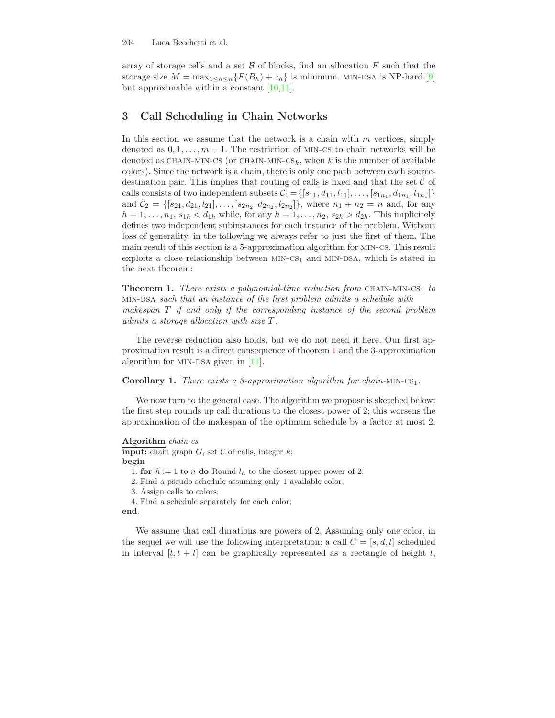<span id="page-3-2"></span>array of storage cells and a set  $\beta$  of blocks, find an allocation  $F$  such that the storage size  $M = \max_{1 \leq h \leq n} \{F(B_h) + z_h\}$  is minimum. MIN-DSA is NP-hard [\[9\]](#page-11-17) but approximable within a constant [\[10](#page-11-18)[,11\]](#page-11-13).

## <span id="page-3-1"></span>**3 Call Scheduling in Chain Networks**

In this section we assume that the network is a chain with  $m$  vertices, simply denoted as  $0, 1, \ldots, m-1$ . The restriction of MIN-CS to chain networks will be denoted as CHAIN-MIN-CS (or CHAIN-MIN-CS<sub>k</sub>, when k is the number of available colors). Since the network is a chain, there is only one path between each sourcedestination pair. This implies that routing of calls is fixed and that the set  $\mathcal C$  of calls consists of two independent subsets  $C_1 = \{ [s_{11}, d_{11}, l_{11}], \ldots, [s_{1n_1}, d_{1n_1}, l_{1n_1}] \}$ and  $C_2 = \{ [s_{21}, d_{21}, l_{21}], \ldots, [s_{2n_2}, d_{2n_2}, l_{2n_2}] \}$ , where  $n_1 + n_2 = n$  and, for any  $h = 1, \ldots, n_1, s_{1h} < d_{1h}$  while, for any  $h = 1, \ldots, n_2, s_{2h} > d_{2h}$ . This implicitely defines two independent subinstances for each instance of the problem. Without loss of generality, in the following we always refer to just the first of them. The main result of this section is a 5-approximation algorithm for min-cs. This result exploits a close relationship between  $MIN-CS<sub>1</sub>$  and  $MIN-DSA$ , which is stated in the next theorem:

<span id="page-3-0"></span>**Theorem 1.** *There exists a polynomial-time reduction from* CHAIN-MIN-CS<sub>1</sub> *to* min-dsa *such that an instance of the first problem admits a schedule with makespan* T *if and only if the corresponding instance of the second problem admits a storage allocation with size* T *.*

The reverse reduction also holds, but we do not need it here. Our first approximation result is a direct consequence of theorem [1](#page-3-0) and the 3-approximation algorithm for MIN-DSA given in  $[11]$ .

**Corollary 1.** *There exists a 3-approximation algorithm for chain-*min-cs1*.*

We now turn to the general case. The algorithm we propose is sketched below: the first step rounds up call durations to the closest power of 2; this worsens the approximation of the makespan of the optimum schedule by a factor at most 2.

**Algorithm** chain-cs **input:** chain graph  $G$ , set  $C$  of calls, integer  $k$ ; **begin**

- 1. **for**  $h := 1$  to n **do** Round  $l_h$  to the closest upper power of 2;
- 2. Find a pseudo-schedule assuming only 1 available color;
- 3. Assign calls to colors;
- 4. Find a schedule separately for each color; **end**.

We assume that call durations are powers of 2. Assuming only one color, in the sequel we will use the following interpretation: a call  $C = [s, d, l]$  scheduled in interval  $[t, t + l]$  can be graphically represented as a rectangle of height l,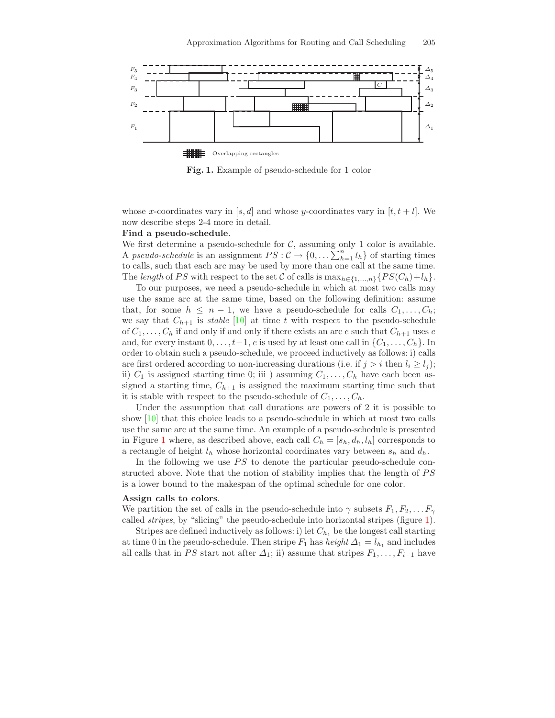<span id="page-4-2"></span>

<span id="page-4-0"></span>**Fig. 1.** Example of pseudo-schedule for 1 color

<span id="page-4-1"></span>whose x-coordinates vary in [s, d] and whose y-coordinates vary in  $[t, t + l]$ . We now describe steps 2-4 more in detail.

## **Find a pseudo-schedule**.

We first determine a pseudo-schedule for  $C$ , assuming only 1 color is available. A *pseudo-schedule* is an assignment  $PS : \mathcal{C} \to \{0, \ldots \sum_{h=1}^{n} l_h\}$  of starting times to calls, such that each arc may be used by more than one call at the same time. The *length* of PS with respect to the set C of calls is  $\max_{h \in \{1,\ldots,n\}} \{PS(C_h)+l_h\}.$ 

To our purposes, we need a pseudo-schedule in which at most two calls may use the same arc at the same time, based on the following definition: assume that, for some  $h \leq n-1$ , we have a pseudo-schedule for calls  $C_1, \ldots, C_h$ ; we say that  $C_{h+1}$  is *stable* [\[10\]](#page-11-19) at time t with respect to the pseudo-schedule of  $C_1, \ldots, C_h$  if and only if and only if there exists an arc e such that  $C_{h+1}$  uses e and, for every instant  $0, \ldots, t-1$ , e is used by at least one call in  $\{C_1, \ldots, C_h\}$ . In order to obtain such a pseudo-schedule, we proceed inductively as follows: i) calls are first ordered according to non-increasing durations (i.e. if  $j>i$  then  $l_i \geq l_j$ ); ii)  $C_1$  is assigned starting time 0; iii) assuming  $C_1, \ldots, C_h$  have each been assigned a starting time,  $C_{h+1}$  is assigned the maximum starting time such that it is stable with respect to the pseudo-schedule of  $C_1,\ldots,C_h$ .

Under the assumption that call durations are powers of 2 it is possible to show [\[10\]](#page-11-19) that this choice leads to a pseudo-schedule in which at most two calls use the same arc at the same time. An example of a pseudo-schedule is presented in Figure [1](#page-4-0) where, as described above, each call  $C_h = [s_h, d_h, l_h]$  corresponds to a rectangle of height  $l_h$  whose horizontal coordinates vary between  $s_h$  and  $d_h$ .

In the following we use  $PS$  to denote the particular pseudo-schedule constructed above. Note that the notion of stability implies that the length of PS is a lower bound to the makespan of the optimal schedule for one color.

#### **Assign calls to colors**.

We partition the set of calls in the pseudo-schedule into  $\gamma$  subsets  $F_1, F_2, \ldots F_{\gamma}$ called *stripes*, by "slicing" the pseudo-schedule into horizontal stripes (figure [1\)](#page-4-0).

Stripes are defined inductively as follows: i) let  $C_{h_1}$  be the longest call starting at time 0 in the pseudo-schedule. Then stripe  $F_1$  has *height*  $\Delta_1 = l_{h_1}$  and includes all calls that in PS start not after  $\Delta_1$ ; ii) assume that stripes  $F_1,\ldots,F_{i-1}$  have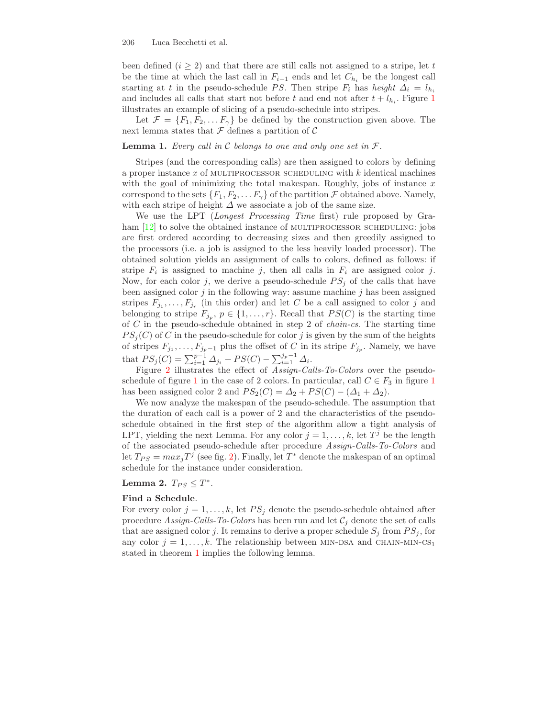<span id="page-5-3"></span>been defined  $(i \geq 2)$  and that there are still calls not assigned to a stripe, let t be the time at which the last call in  $F_{i-1}$  ends and let  $C_{h_i}$  be the longest call starting at t in the pseudo-schedule PS. Then stripe  $F_i$  has *height*  $\Delta_i = l_{h_i}$ and includes all calls that start not before t and end not after  $t + l_{h_i}$ . Figure [1](#page-4-1) illustrates an example of slicing of a pseudo-schedule into stripes.

<span id="page-5-0"></span>Let  $\mathcal{F} = \{F_1, F_2, \ldots F_{\gamma}\}\$ be defined by the construction given above. The next lemma states that  $\mathcal F$  defines a partition of  $\mathcal C$ 

#### **Lemma 1.** *Every call in*  $\mathcal C$  *belongs to one and only one set in*  $\mathcal F$ *.*

Stripes (and the corresponding calls) are then assigned to colors by defining a proper instance  $x$  of MULTIPROCESSOR SCHEDULING with  $k$  identical machines with the goal of minimizing the total makespan. Roughly, jobs of instance  $x$ correspond to the sets  $\{F_1, F_2, \ldots F_{\gamma}\}\$  of the partition  $\mathcal F$  obtained above. Namely, with each stripe of height  $\Delta$  we associate a job of the same size.

W e use the LPT (*Longest Processing Time* first) rule proposed by Graham  $[12]$  to solve the obtained instance of MULTIPROCESSOR SCHEDULING: jobs are first ordered according to decreasing sizes and then greedily assigned to the processors (i.e. a job is assigned to the less heavily loaded processor). The obtained solution yields an assignment of calls to colors, defined as follows: if stripe  $F_i$  is assigned to machine j, then all calls in  $F_i$  are assigned color j. Now, for each color j, we derive a pseudo-schedule  $PS<sub>j</sub>$  of the calls that have been assigned color  $j$  in the following way: assume machine  $j$  has been assigned stripes  $F_{j_1}, \ldots, F_{j_r}$  (in this order) and let C be a call assigned to color j and belonging to stripe  $F_{j_p}, p \in \{1, \ldots, r\}$ . Recall that  $PS(C)$  is the starting time of C in the pseudo-schedule obtained in step 2 of *chain-cs*. The starting time  $PS_j(C)$  of C in the pseudo-schedule for color j is given by the sum of the heights of stripes  $F_{j_1}, \ldots, F_{j_p-1}$  plus the offset of C in its stripe  $F_{j_p}$ . Namely, we have that  $PS_j(C) = \sum_{i=1}^{p-1} \Delta_{j_i} + PS(C) - \sum_{i=1}^{j_p-1} \Delta_i$ .

Figure [2](#page-6-0) illustrates the effect of *Assign-Calls-To-Colors* over the pseudo-schedule of figure [1](#page-4-1) in the case of 2 colors. In particular, call  $C \in F_3$  in figure 1 has been assigned color 2 and  $PS_2(C) = \Delta_2 + PS(C) - (\Delta_1 + \Delta_2)$ .

We now analyze the makespan of the pseudo-schedule. The assumption that the duration of each call is a power of 2 and the characteristics of the pseudoschedule obtained in the first step of the algorithm allow a tight analysis of LPT, yielding the next Lemma. For any color  $j = 1, \ldots, k$ , let  $T<sup>j</sup>$  be the length of the associated pseudo-schedule after procedure *Assign-Calls-To-Colors* and let  $T_{PS} = max_i T^j$  (see fig. [2\)](#page-6-0). Finally, let  $T^*$  denote the makespan of an optimal schedule for the instance under consideration.

<span id="page-5-1"></span>**Lemma 2.**  $T_{PS} \leq T^*$ .

#### **Find a Schedule**.

<span id="page-5-2"></span>For every color  $j = 1, ..., k$ , let  $PS_j$  denote the pseudo-schedule obtained after procedure  $Assign\text{-}Calls\text{-}To\text{-}Colors$  has been run and let  $\mathcal{C}_j$  denote the set of calls that are assigned color j. It remains to derive a proper schedule  $S_j$  from  $PS_j$ , for any color  $j = 1, \ldots, k$ . The relationship between MIN-DSA and CHAIN-MIN-CS<sub>1</sub> stated in theorem [1](#page-3-0) implies the following lemma.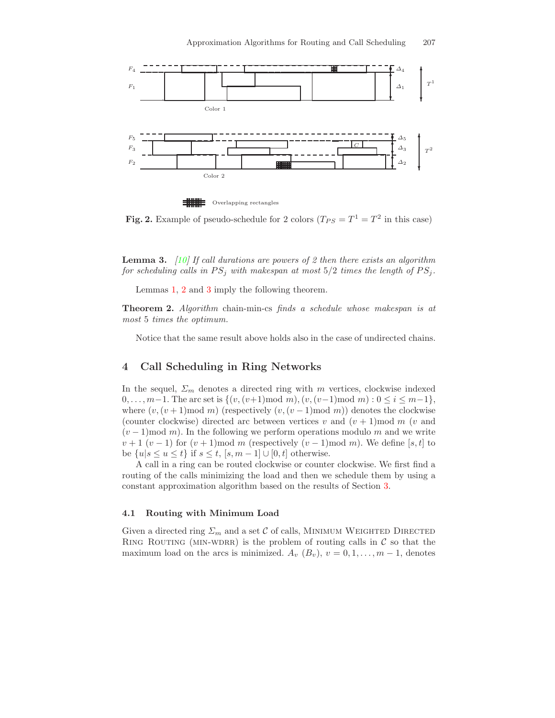<span id="page-6-1"></span>

**ENDITE** Overlapping rectangles

<span id="page-6-0"></span>**Fig. 2.** Example of pseudo-schedule for 2 colors ( $T_{PS} = T^1 = T^2$  in this case)

**Lemma 3.** *[\[10\]](#page-11-19) If call durations are powers of 2 then there exists an algorithm for scheduling calls in*  $PS_i$  *with makespan at most*  $5/2$  *times the length of*  $PS_i$ *.* 

Lemmas [1,](#page-5-0) [2](#page-5-1) and [3](#page-5-2) imply the following theorem.

**Theorem 2.** *Algorithm* chain-min-cs *finds a schedule whose makespan is at most* 5 *times the optimum.*

Notice that the same result above holds also in the case of undirected chains.

## **4 Call Scheduling in Ring Networks**

In the sequel,  $\Sigma_m$  denotes a directed ring with m vertices, clockwise indexed 0,...,m−1. The arc set is  $\{(v,(v+1) \mod m),(v,(v-1) \mod m):0 \leq i \leq m-1\},\$ where  $(v,(v+1) \text{ mod } m)$  (respectively  $(v,(v-1) \text{ mod } m)$ ) denotes the clockwise (counter clockwise) directed arc between vertices v and  $(v + 1)$  mod m (v and  $(v-1)$  mod m). In the following we perform operations modulo m and we write  $v + 1$  (v − 1) for  $(v + 1)$ mod m (respectively  $(v - 1)$ mod m). We define [s, t] to be  $\{u|s \leq u \leq t\}$  if  $s \leq t$ ,  $[s, m-1] \cup [0, t]$  otherwise.

A call in a ring can be routed clockwise or counter clockwise. We first find a routing of the calls minimizing the load and then we schedule them by using a constant approximation algorithm based on the results of Section [3.](#page-3-1)

#### **4.1 Routing with Minimum Load**

Given a directed ring  $\Sigma_m$  and a set C of calls, MINIMUM WEIGHTED DIRECTED RING ROUTING (MIN-WDRR) is the problem of routing calls in  $\mathcal C$  so that the maximum load on the arcs is minimized.  $A_v$   $(B_v)$ ,  $v = 0, 1, \ldots, m-1$ , denotes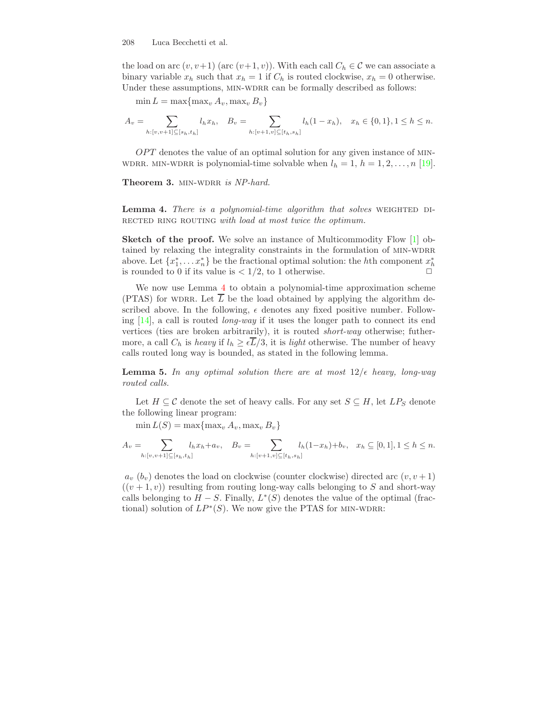<span id="page-7-3"></span><span id="page-7-2"></span>the load on arc  $(v, v+1)$  (arc  $(v+1, v)$ ). With each call  $C_h \in \mathcal{C}$  we can associate a binary variable  $x_h$  such that  $x_h = 1$  if  $C_h$  is routed clockwise,  $x_h = 0$  otherwise. Under these assumptions, MIN-WDRR can be formally described as follows:

 $\min L = \max\{\max_v A_v, \max_v B_v\}$ 

$$
A_v = \sum_{h:[v,v+1]\subseteq [s_h,t_h]} l_h x_h, \quad B_v = \sum_{h:[v+1,v]\subseteq [t_h,s_h]} l_h(1-x_h), \quad x_h \in \{0,1\}, 1 \le h \le n.
$$

 $OPT$  denotes the value of an optimal solution for any given instance of MIN-WDRR. MIN-WDRR is polynomial-time solvable when  $l_h = 1, h = 1, 2, \ldots, n$  [\[19\]](#page-12-1).

<span id="page-7-1"></span><span id="page-7-0"></span>**Theorem 3.** MIN-WDRR *is NP-hard.* 

**Lemma 4.** *There is a polynomial-time algorithm that solves* WEIGHTED DIrected ring routing *with load at most twice the optimum.*

**Sketch of the proof.** We solve an instance of Multicommodity Flow [\[1\]](#page-11-21) obtained by relaxing the integrality constraints in the formulation of MIN-WDRR above. Let  $\{x_1^*, \ldots x_n^*\}$  be the fractional optimal solution: the hth component  $x_h^*$ is rounded to 0 if its value is  $\langle 1/2, \text{ to } 1 \text{ otherwise.} \rangle$ 

We now use Lemma [4](#page-7-0) to obtain a polynomial-time approximation scheme (PTAS) for WDRR. Let  $\overline{L}$  be the load obtained by applying the algorithm described above. In the following,  $\epsilon$  denotes any fixed positive number. Following [\[14\]](#page-11-9), a call is routed *long-way* if it uses the longer path to connect its end vertices (ties are broken arbitrarily), it is routed *short-way* otherwise; futhermore, a call  $C_h$  is *heavy* if  $l_h \geq \epsilon \overline{L}/3$ , it is *light* otherwise. The number of heavy calls routed long way is bounded, as stated in the following lemma.

**Lemma 5.** In any optimal solution there are at most  $12/\epsilon$  heavy, long-way *routed calls.*

Let  $H \subseteq \mathcal{C}$  denote the set of heavy calls. For any set  $S \subseteq H$ , let  $LP_S$  denote the following linear program:

 $\min L(S) = \max\{\max_v A_v, \max_v B_v\}$ 

$$
A_v = \sum_{h:[v,v+1]\subseteq [s_h,t_h]} l_h x_h + a_v, \quad B_v = \sum_{h:[v+1,v]\subseteq [t_h,s_h]} l_h(1-x_h) + b_v, \quad x_h \subseteq [0,1], 1 \le h \le n.
$$

 $a_v$  ( $b_v$ ) denotes the load on clockwise (counter clockwise) directed arc  $(v, v+1)$  $((v + 1, v))$  resulting from routing long-way calls belonging to S and short-way calls belonging to  $H - S$ . Finally,  $L^*(S)$  denotes the value of the optimal (fractional) solution of  $LP^*(S)$ . We now give the PTAS for MIN-WDRR: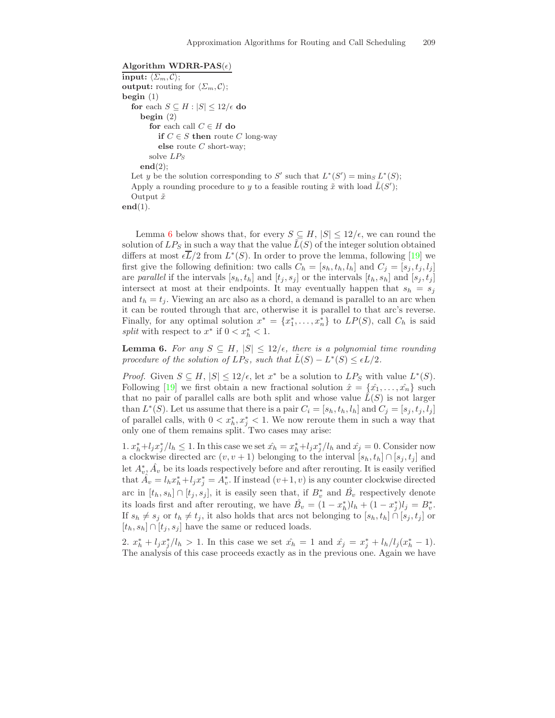```
Algorithm WDRR-PAS(\epsilon)
```
**input:**  $\langle \Sigma_m, C \rangle$ ; **output:** routing for  $\langle \Sigma_m, \mathcal{C} \rangle$ ; **begin** (1) **for** each  $S \subseteq H$  :  $|S| \leq 12/\epsilon$  **do begin** (2) **for** each call  $C \in H$  **do if**  $C \in S$  **then** route C long-way **else** route C short-way; solve  $LP_S$ **end**(2); Let y be the solution corresponding to S' such that  $L^*(S') = \min_S L^*(S)$ ; Apply a rounding procedure to y to a feasible routing  $\tilde{x}$  with load  $\tilde{L}(S')$ ; Output  $\tilde{x}$ **end**(1).

Lemma [6](#page-8-0) below shows that, for every  $S \subseteq H$ ,  $|S| \leq 12/\epsilon$ , we can round the solution of  $LP_S$  in such a way that the value  $\tilde{L}(S)$  of the integer solution obtained differs at most  $\epsilon \overline{L}/2$  from  $L^*(S)$ . In order to prove the lemma, following [\[19\]](#page-12-2) we first give the following definition: two calls  $C_h = [s_h, t_h, l_h]$  and  $C_i = [s_i, t_i, l_i]$ are *parallel* if the intervals  $[s_h, t_h]$  and  $[t_j, s_j]$  or the intervals  $[t_h, s_h]$  and  $[s_j, t_j]$ intersect at most at their endpoints. It may eventually happen that  $s_h = s_j$ and  $t<sub>h</sub> = t<sub>i</sub>$ . Viewing an arc also as a chord, a demand is parallel to an arc when it can be routed through that arc, otherwise it is parallel to that arc's reverse. Finally, for any optimal solution  $x^* = \{x_1^*, \ldots, x_n^*\}$  to  $LP(S)$ , call  $C_h$  is said *split* with respect to  $x^*$  if  $0 < x_h^* < 1$ .

<span id="page-8-0"></span>**Lemma 6.** For any  $S \subseteq H$ ,  $|S| \leq 12/\epsilon$ , there is a polynomial time rounding *procedure of the solution of*  $LP_S$ *, such that*  $\ddot{L}(S) - L^*(S) \leq \epsilon L/2$ *.* 

*Proof.* Given  $S \subseteq H$ ,  $|S| \leq 12/\epsilon$ , let  $x^*$  be a solution to  $LP_S$  with value  $L^*(S)$ . Following [\[19\]](#page-12-2) we first obtain a new fractional solution  $\hat{x} = \{\hat{x}_1, \ldots, \hat{x}_n\}$  such that no pair of parallel calls are both split and whose value  $\tilde{L}(S)$  is not larger than  $L^*(S)$ . Let us assume that there is a pair  $C_i = [s_h, t_h, l_h]$  and  $C_j = [s_j, t_j, l_j]$ of parallel calls, with  $0 < x_h^*, x_j^* < 1$ . We now reroute them in such a way that only one of them remains split. Two cases may arise:

1.  $x_h^* + l_j x_j^* / l_h \leq 1$ . In this case we set  $\hat{x_h} = x_h^* + l_j x_j^* / l_h$  and  $\hat{x_j} = 0$ . Consider now a clockwise directed arc  $(v, v + 1)$  belonging to the interval  $[s_h, t_h] \cap [s_j, t_j]$  and let  $A_{v}^*$ ,  $\hat{A}_v$  be its loads respectively before and after rerouting. It is easily verified that  $\hat{A}_v = l_h x_h^* + l_j x_j^* = \hat{A}_v^*$ . If instead  $(v+1, v)$  is any counter clockwise directed arc in  $[t_h, s_h] \cap [t_j, s_j]$ , it is easily seen that, if  $B_v^*$  and  $\hat{B_v}$  respectively denote its loads first and after rerouting, we have  $\hat{B}_v = (1 - x_h^*)l_h + (1 - x_j^*)l_j = B_v^*$ . If  $s_h \neq s_j$  or  $t_h \neq t_j$ , it also holds that arcs not belonging to  $[s_h, t_h] \cap [s_j, t_j]$  or  $[t_h, s_h] \cap [t_j, s_j]$  have the same or reduced loads.

2.  $x_h^* + l_j x_j^* / l_h > 1$ . In this case we set  $\hat{x_h} = 1$  and  $\hat{x_j} = x_j^* + l_h / l_j (x_h^* - 1)$ . The analysis of this case proceeds exactly as in the previous one. Again we have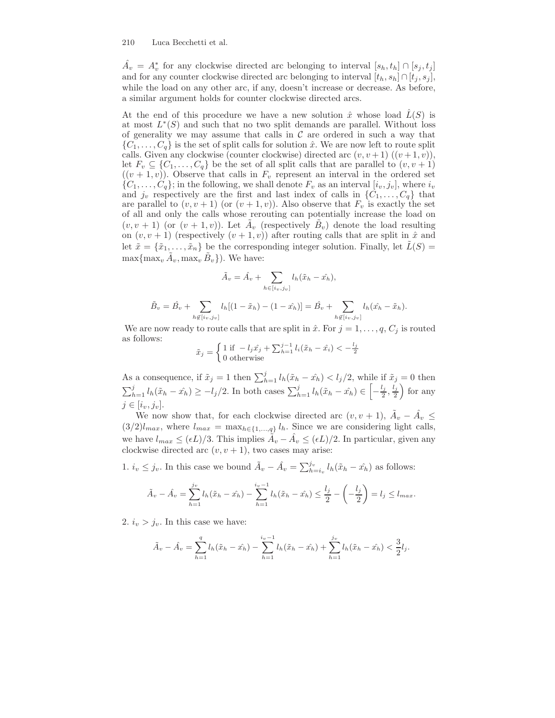$\hat{A}_v = A_v^*$  for any clockwise directed arc belonging to interval  $[s_h, t_h] \cap [s_j, t_j]$ and for any counter clockwise directed arc belonging to interval  $[t_h, s_h] \cap [t_i, s_j]$ , while the load on any other arc, if any, doesn't increase or decrease. As before, a similar argument holds for counter clockwise directed arcs.

At the end of this procedure we have a new solution  $\hat{x}$  whose load  $L(S)$  is at most  $L^*(S)$  and such that no two split demands are parallel. Without loss of generality we may assume that calls in  $C$  are ordered in such a way that  $\{C_1,\ldots,C_q\}$  is the set of split calls for solution  $\hat{x}$ . We are now left to route split calls. Given any clockwise (counter clockwise) directed arc  $(v, v+1)$   $((v+1, v)),$ let  $F_v \subseteq \{C_1,\ldots,C_q\}$  be the set of all split calls that are parallel to  $(v,v+1)$  $((v + 1, v))$ . Observe that calls in  $F_v$  represent an interval in the ordered set  $\{C_1,\ldots,C_q\}$ ; in the following, we shall denote  $F_v$  as an interval  $[i_v, j_v]$ , where  $i_v$ and  $j_v$  respectively are the first and last index of calls in  $\{C_1,\ldots,C_q\}$  that are parallel to  $(v, v + 1)$  (or  $(v + 1, v)$ ). Also observe that  $F_v$  is exactly the set of all and only the calls whose rerouting can potentially increase the load on  $(v, v + 1)$  (or  $(v + 1, v)$ ). Let  $A_v$  (respectively  $B_v$ ) denote the load resulting on  $(v, v + 1)$  (respectively  $(v + 1, v)$ ) after routing calls that are split in  $\hat{x}$  and let  $\tilde{x} = {\tilde{x}_1, \ldots, \tilde{x}_n}$  be the corresponding integer solution. Finally, let  $L(S)$  $\max\{\max_{v} \tilde{A}_v, \max_{v} \tilde{B}_v\}$ ). We have:

$$
\tilde{A}_v = \hat{A}_v + \sum_{h \in [i_v, j_v]} l_h(\tilde{x}_h - \hat{x}_h),
$$

$$
\tilde{B}_v = \hat{B}_v + \sum_{h \notin [i_v, j_v]} l_h[(1 - \tilde{x}_h) - (1 - \hat{x}_h)] = \hat{B}_v + \sum_{h \notin [i_v, j_v]} l_h(\hat{x}_h - \tilde{x}_h).
$$

We are now ready to route calls that are split in  $\hat{x}$ . For  $j = 1, \ldots, q, C_j$  is routed as follows:

$$
\tilde{x}_j = \begin{cases} 1 \text{ if } -l_j \hat{x}_j + \sum_{h=1}^{j-1} l_i (\tilde{x}_h - \hat{x}_i) < -\frac{l_j}{2} \\ 0 \text{ otherwise} \end{cases}
$$

As a consequence, if  $\tilde{x}_j = 1$  then  $\sum_{h=1}^j l_h(\tilde{x}_h - \hat{x}_h) < l_j/2$ , while if  $\tilde{x}_j = 0$  then  $\sum_{h=1}^{j} l_h(\tilde{x}_h - \hat{x}_h) \geq -l_j/2$ . In both cases  $\sum_{h=1}^{j} l_h(\tilde{x}_h - \hat{x}_h) \in \left[-\frac{l_j}{2}, \frac{l_j}{2}\right)$  for any  $j \in [i_v, j_v].$ 

We now show that, for each clockwise directed arc  $(v, v + 1)$ ,  $\tilde{A}_v - \hat{A}_v \leq$  $(3/2)l_{max}$ , where  $l_{max} = \max_{h \in \{1, ..., q\}} l_h$ . Since we are considering light calls, we have  $l_{max} \leq (\epsilon L)/3$ . This implies  $\tilde{A}_v - \hat{A}_v \leq (\epsilon L)/2$ . In particular, given any clockwise directed arc  $(v, v + 1)$ , two cases may arise:

1.  $i_v \leq j_v$ . In this case we bound  $\tilde{A}_v - \hat{A}_v = \sum_{h=i_v}^{j_v} l_h(\tilde{x}_h - \hat{x}_h)$  as follows:

$$
\tilde{A}_v - \hat{A}_v = \sum_{h=1}^{j_v} l_h(\tilde{x}_h - \hat{x_h}) - \sum_{h=1}^{i_v - 1} l_h(\tilde{x}_h - \hat{x_h}) \le \frac{l_j}{2} - \left(-\frac{l_j}{2}\right) = l_j \le l_{max}.
$$

2.  $i_v > j_v$ . In this case we have:

$$
\tilde{A}_v - \hat{A}_v = \sum_{h=1}^q l_h(\tilde{x}_h - \hat{x_h}) - \sum_{h=1}^{i_v - 1} l_h(\tilde{x}_h - \hat{x_h}) + \sum_{h=1}^{j_v} l_h(\tilde{x}_h - \hat{x_h}) < \frac{3}{2}l_j.
$$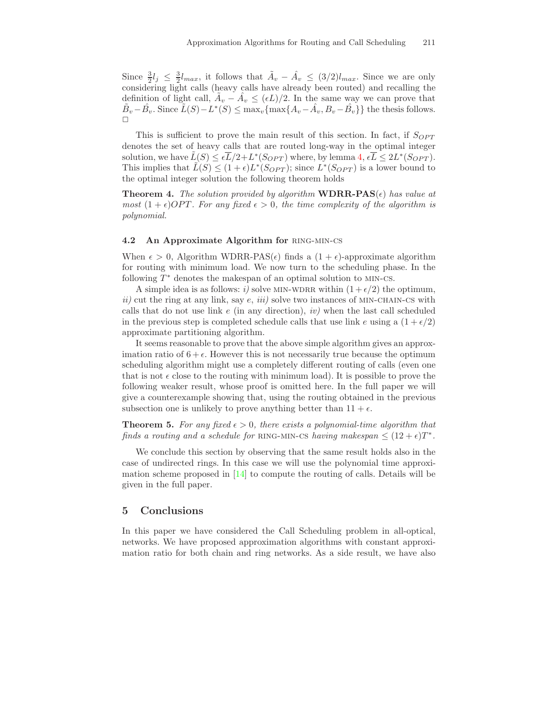<span id="page-10-0"></span>Since  $\frac{3}{2}l_j \leq \frac{3}{2}l_{max}$ , it follows that  $\tilde{A}_v - \hat{A}_v \leq (3/2)l_{max}$ . Since we are only considering light calls (heavy calls have already been routed) and recalling the definition of light call,  $\tilde{A}_v - \hat{A}_v \leq (\epsilon L)/2$ . In the same way we can prove that  $\tilde{B}_v - \hat{B_v}$ . Since  $\tilde{L}(S) - L^*(S) \le \max_v \{ \max\{A_v - \hat{A_v}, B_v - \hat{B_v}\} \}$  the thesis follows. ✷

This is sufficient to prove the main result of this section. In fact, if  $S_{OPT}$ denotes the set of heavy calls that are routed long-way in the optimal integer solution, we have  $\tilde{L}(S) \leq \epsilon \overline{L}/2 + L^*(S_{OPT})$  where, by lemma  $4, \epsilon \overline{L} \leq 2L^*(S_{OPT})$  $4, \epsilon \overline{L} \leq 2L^*(S_{OPT})$ . This implies that  $\hat{L}(S) \leq (1+\epsilon)L^*(S_{OPT});$  since  $L^*(S_{OPT})$  is a lower bound to the optimal integer solution the following theorem holds

**Theorem 4.** The solution provided by algorithm **WDRR-PAS** $(\epsilon)$  has value at *most*  $(1 + \epsilon)$ *OPT. For any fixed*  $\epsilon > 0$ *, the time complexity of the algorithm is polynomial.*

#### **4.2** An Approximate Algorithm for RING-MIN-CS

When  $\epsilon > 0$ , Algorithm WDRR-PAS( $\epsilon$ ) finds a  $(1 + \epsilon)$ -approximate algorithm for routing with minimum load. We now turn to the scheduling phase. In the following  $T^*$  denotes the makespan of an optimal solution to MIN-CS.

A simple idea is as follows: *i*) solve MIN-WDRR within  $(1 + \epsilon/2)$  the optimum, *ii)* cut the ring at any link, say e, *iii)* solve two instances of MIN-CHAIN-CS with calls that do not use link  $e$  (in any direction),  $iv$ ) when the last call scheduled in the previous step is completed schedule calls that use link e using a  $(1 + \epsilon/2)$ approximate partitioning algorithm.

It seems reasonable to prove that the above simple algorithm gives an approximation ratio of  $6 + \epsilon$ . However this is not necessarily true because the optimum scheduling algorithm might use a completely different routing of calls (even one that is not  $\epsilon$  close to the routing with minimum load). It is possible to prove the following weaker result, whose proof is omitted here. In the full paper we will give a counterexample showing that, using the routing obtained in the previous subsection one is unlikely to prove anything better than  $11 + \epsilon$ .

**Theorem 5.** For any fixed  $\epsilon > 0$ , there exists a polynomial-time algorithm that *finds a routing and a schedule for* RING-MIN-CS *having makespan*  $\leq (12 + \epsilon)T^*$ .

We conclude this section by observing that the same result holds also in the case of undirected rings. In this case we will use the polynomial time approximation scheme proposed in [\[14\]](#page-11-15) to compute the routing of calls. Details will be given in the full paper.

## **5 Conclusions**

In this paper we have considered the Call Scheduling problem in all-optical, networks. We have proposed approximation algorithms with constant approximation ratio for both chain and ring networks. As a side result, we have also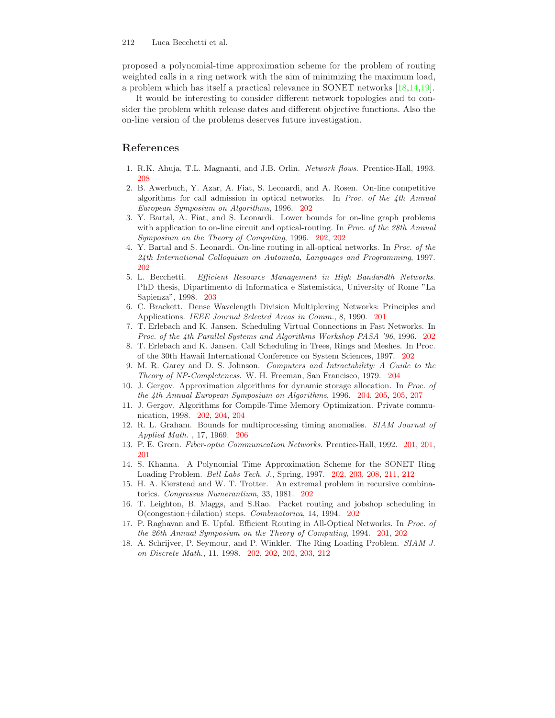<span id="page-11-23"></span><span id="page-11-22"></span>proposed a polynomial-time approximation scheme for the problem of routing weighted calls in a ring network with the aim of minimizing the maximum load, a problem which has itself a practical relevance in SONET networks [\[18](#page-11-8)[,14,](#page-11-9)[19\]](#page-12-1).

It would be interesting to consider different network topologies and to consider the problem whith release dates and different objective functions. Also the on-line version of the problems deserves future investigation.

## <span id="page-11-21"></span>**References**

- <span id="page-11-7"></span>1. R.K. Ahuja, T.L. Magnanti, and J.B. Orlin. Network flows. Prentice-Hall, 1993. [208](#page-7-2)
- 2. B. Awerbuch, Y. Azar, A. Fiat, S. Leonardi, and A. Rosen. On-line competitive algorithms for call admission in optical networks. In Proc. of the 4th Annual European Symposium on Algorithms, 1996. [202](#page-1-0)
- <span id="page-11-3"></span>3. Y. Bartal, A. Fiat, and S. Leonardi. Lower bounds for on-line graph problems with application to on-line circuit and optical-routing. In *Proc. of the 28th Annual* Symposium on the Theory of Computing, 1996. [202,](#page-1-0) [202](#page-1-0)
- <span id="page-11-4"></span>4. Y. Bartal and S. Leonardi. On-line routing in all-optical networks. In Proc. of the 24th International Colloquium on Automata, Languages and Programming, 1997. [202](#page-1-0)
- <span id="page-11-16"></span>5. L. Becchetti. Efficient Resource Management in High Bandwidth Networks. PhD thesis, Dipartimento di Informatica e Sistemistica, University of Rome "La Sapienza", 1998. [203](#page-2-0)
- <span id="page-11-0"></span>6. C. Brackett. Dense Wavelength Division Multiplexing Networks: Principles and Applications. IEEE Journal Selected Areas in Comm., 8, 1990. [201](#page-0-0)
- <span id="page-11-11"></span>7. T. Erlebach and K. Jansen. Scheduling Virtual Connections in Fast Networks. In Proc. of the 4th Parallel Systems and Algorithms Workshop PASA '96, 1996. [202](#page-1-0)
- <span id="page-11-12"></span>8. T. Erlebach and K. Jansen. Call Scheduling in Trees, Rings and Meshes. In Proc. of the 30th Hawaii International Conference on System Sciences, 1997. [202](#page-1-0)
- <span id="page-11-17"></span>9. M. R. Garey and D. S. Johnson. Computers and Intractability: A Guide to the Theory of NP-Completeness. W. H. Freeman, San Francisco, 1979. [204](#page-3-2)
- <span id="page-11-19"></span><span id="page-11-18"></span>10. J. Gergov. Approximation algorithms for dynamic storage allocation. In Proc. of the 4th Annual European Symposium on Algorithms, 1996. [204,](#page-3-2) [205,](#page-4-2) [205,](#page-4-2) [207](#page-6-1)
- <span id="page-11-13"></span>11. J. Gergov. Algorithms for Compile-Time Memory Optimization. Private communication, 1998. [202,](#page-1-0) [204,](#page-3-2) [204](#page-3-2)
- <span id="page-11-20"></span>12. R. L. Graham. Bounds for multiprocessing timing anomalies. SIAM Journal of Applied Math. , 17, 1969. [206](#page-5-3)
- <span id="page-11-1"></span>13. P. E. Green. Fiber-optic Communication Networks. Prentice-Hall, 1992. [201,](#page-0-0) [201,](#page-0-0) [201](#page-0-0)
- <span id="page-11-15"></span><span id="page-11-9"></span>14. S. Khanna. A Polynomial Time Approximation Scheme for the SONET Ring Loading Problem. Bell Labs Tech. J., Spring, 1997. [202,](#page-1-0) [203,](#page-2-0) [208,](#page-7-2) [211,](#page-10-0) [212](#page-11-22)
- <span id="page-11-5"></span>15. H. A. Kierstead and W. T. Trotter. An extremal problem in recursive combinatorics. Congressus Numerantium, 33, 1981. [202](#page-1-0)
- <span id="page-11-10"></span>16. T. Leighton, B. Maggs, and S.Rao. Packet routing and jobshop scheduling in O(congestion+dilation) steps. Combinatorica, 14, 1994. [202](#page-1-0)
- <span id="page-11-6"></span><span id="page-11-2"></span>17. P. Raghavan and E. Upfal. Efficient Routing in All-Optical Networks. In Proc. of the 26th Annual Symposium on the Theory of Computing, 1994. [201,](#page-0-0) [202](#page-1-0)
- <span id="page-11-14"></span><span id="page-11-8"></span>18. A. Schrijver, P. Seymour, and P. Winkler. The Ring Loading Problem. SIAM J. on Discrete Math., 11, 1998. [202,](#page-1-0) [202,](#page-1-0) [202,](#page-1-0) [203,](#page-2-0) [212](#page-11-22)